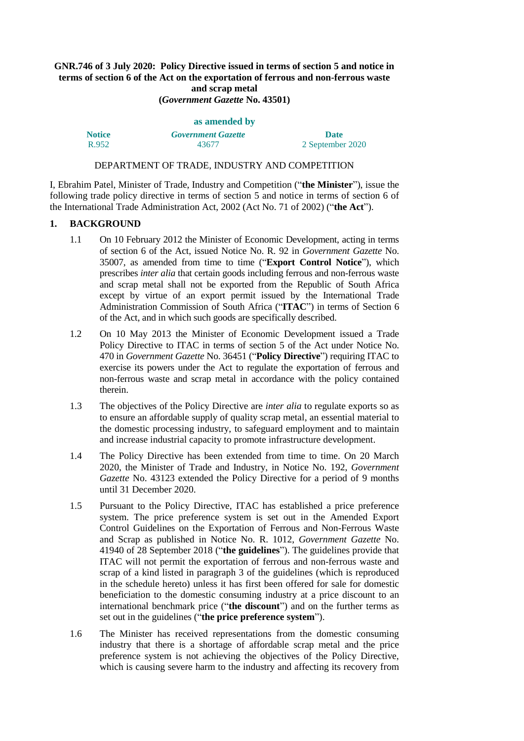# **GNR.746 of 3 July 2020: Policy Directive issued in terms of section 5 and notice in terms of section 6 of the Act on the exportation of ferrous and non-ferrous waste and scrap metal**

**(***Government Gazette* **No. 43501)**

| as amended by |                           |                  |  |
|---------------|---------------------------|------------------|--|
| <b>Notice</b> | <b>Government Gazette</b> | <b>Date</b>      |  |
| R.952         | 43677                     | 2 September 2020 |  |

#### DEPARTMENT OF TRADE, INDUSTRY AND COMPETITION

I, Ebrahim Patel, Minister of Trade, Industry and Competition ("**the Minister**"), issue the following trade policy directive in terms of section 5 and notice in terms of section 6 of the International Trade Administration Act, 2002 (Act No. 71 of 2002) ("**the Act**").

### **1. BACKGROUND**

- 1.1 On 10 February 2012 the Minister of Economic Development, acting in terms of section 6 of the Act, issued Notice No. R. 92 in *Government Gazette* No. 35007, as amended from time to time ("**Export Control Notice**"), which prescribes *inter alia* that certain goods including ferrous and non-ferrous waste and scrap metal shall not be exported from the Republic of South Africa except by virtue of an export permit issued by the International Trade Administration Commission of South Africa ("**ITAC**") in terms of Section 6 of the Act, and in which such goods are specifically described.
- 1.2 On 10 May 2013 the Minister of Economic Development issued a Trade Policy Directive to ITAC in terms of section 5 of the Act under Notice No. 470 in *Government Gazette* No. 36451 ("**Policy Directive**") requiring ITAC to exercise its powers under the Act to regulate the exportation of ferrous and non-ferrous waste and scrap metal in accordance with the policy contained therein.
- 1.3 The objectives of the Policy Directive are *inter alia* to regulate exports so as to ensure an affordable supply of quality scrap metal, an essential material to the domestic processing industry, to safeguard employment and to maintain and increase industrial capacity to promote infrastructure development.
- 1.4 The Policy Directive has been extended from time to time. On 20 March 2020, the Minister of Trade and Industry, in Notice No. 192, *Government Gazette* No. 43123 extended the Policy Directive for a period of 9 months until 31 December 2020.
- 1.5 Pursuant to the Policy Directive, ITAC has established a price preference system. The price preference system is set out in the Amended Export Control Guidelines on the Exportation of Ferrous and Non-Ferrous Waste and Scrap as published in Notice No. R. 1012, *Government Gazette* No. 41940 of 28 September 2018 ("**the guidelines**"). The guidelines provide that ITAC will not permit the exportation of ferrous and non-ferrous waste and scrap of a kind listed in paragraph 3 of the guidelines (which is reproduced in the schedule hereto) unless it has first been offered for sale for domestic beneficiation to the domestic consuming industry at a price discount to an international benchmark price ("**the discount**") and on the further terms as set out in the guidelines ("**the price preference system**").
- 1.6 The Minister has received representations from the domestic consuming industry that there is a shortage of affordable scrap metal and the price preference system is not achieving the objectives of the Policy Directive, which is causing severe harm to the industry and affecting its recovery from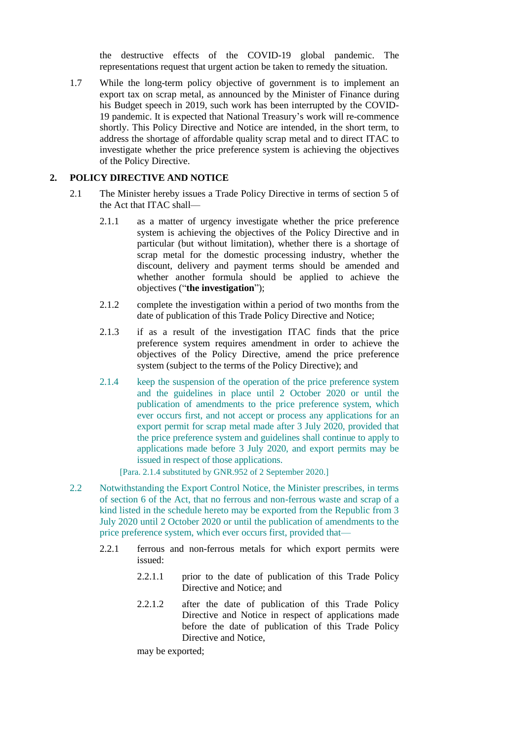the destructive effects of the COVID-19 global pandemic. The representations request that urgent action be taken to remedy the situation.

1.7 While the long-term policy objective of government is to implement an export tax on scrap metal, as announced by the Minister of Finance during his Budget speech in 2019, such work has been interrupted by the COVID-19 pandemic. It is expected that National Treasury's work will re-commence shortly. This Policy Directive and Notice are intended, in the short term, to address the shortage of affordable quality scrap metal and to direct ITAC to investigate whether the price preference system is achieving the objectives of the Policy Directive.

## **2. POLICY DIRECTIVE AND NOTICE**

- 2.1 The Minister hereby issues a Trade Policy Directive in terms of section 5 of the Act that ITAC shall—
	- 2.1.1 as a matter of urgency investigate whether the price preference system is achieving the objectives of the Policy Directive and in particular (but without limitation), whether there is a shortage of scrap metal for the domestic processing industry, whether the discount, delivery and payment terms should be amended and whether another formula should be applied to achieve the objectives ("**the investigation**");
	- 2.1.2 complete the investigation within a period of two months from the date of publication of this Trade Policy Directive and Notice;
	- 2.1.3 if as a result of the investigation ITAC finds that the price preference system requires amendment in order to achieve the objectives of the Policy Directive, amend the price preference system (subject to the terms of the Policy Directive); and
	- 2.1.4 keep the suspension of the operation of the price preference system and the guidelines in place until 2 October 2020 or until the publication of amendments to the price preference system, which ever occurs first, and not accept or process any applications for an export permit for scrap metal made after 3 July 2020, provided that the price preference system and guidelines shall continue to apply to applications made before 3 July 2020, and export permits may be issued in respect of those applications.

[Para. 2.1.4 substituted by GNR.952 of 2 September 2020.]

- 2.2 Notwithstanding the Export Control Notice, the Minister prescribes, in terms of section 6 of the Act, that no ferrous and non-ferrous waste and scrap of a kind listed in the schedule hereto may be exported from the Republic from 3 July 2020 until 2 October 2020 or until the publication of amendments to the price preference system, which ever occurs first, provided that—
	- 2.2.1 ferrous and non-ferrous metals for which export permits were issued:
		- 2.2.1.1 prior to the date of publication of this Trade Policy Directive and Notice; and
		- 2.2.1.2 after the date of publication of this Trade Policy Directive and Notice in respect of applications made before the date of publication of this Trade Policy Directive and Notice,

may be exported;